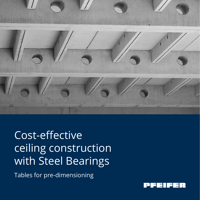

# Cost-effective ceiling construction with Steel Bearings

Tables for pre-dimensioning

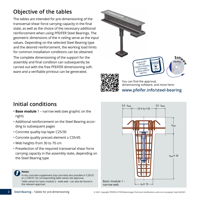# **Objective of the tables**

The tables are intended for pre-dimensioning of the transversal shear force carrying capacity in the final state, as well as the choice of the necessary additional reinforcement when using PFEIFER Steel Bearings. The geometric dimensions of the π ceiling serve as the input values. Depending on the selected Steel Bearing type and the desired reinforcement, the working load limits for common installation conditions can be obtained.

The complete dimensioning of the support for the assembly and final condition can subsequently be carried out with the free PFEIFER dimensioning software and a verifiable printout can be generated.



You can find the approval, dimensioning software, and more here: **www.pfeifer.info/steel-bearing**

# **Initial conditions**

- **Base module** 1 narrow web (see graphic on the right)
- Additional reinforcement on the Steel Bearing according to subsequent pages
- Concrete quality top layer C25/30
- Concrete quality precast element ≥ C35/45
- Web heights from 30 to 70 cm
- Preselection of the required transversal shear force carrying capacity in the assembly state, depending on the Steel Bearing type



#### **Notes:**

**2**

In-situ concrete supplement (top concrete) also possible in C20/25 or ≥ C30/37, for corresponding table values see approval. Table values for basic module 2 - wide web - can also be found in the relevant approval.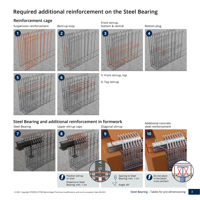# **Required additional reinforcement on the Steel Bearing**

### **Reinforcement cage**

Suspension reinforcement Bent-up loop



**5 6 6 6 6 6 6 6 6 6** 



Front stirrup,



5: Front stirrup, top

6: Top stirrup

### **Steel Bearing and additional reinforcement in formwork**



**3**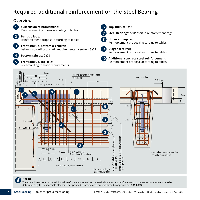# **Required additional reinforcement on the Steel Bearing**



#### **Notice:**

**4**

The exact dimensions of the additional reinforcement as well as the statically necessary reinforcement of the entire component are to be determined by the responsible planner. The specified reinforcement are regulated by approval no. **Z-15.6-287**.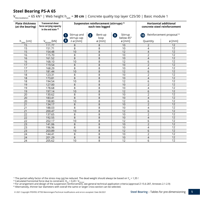$V_{\text{Rd} \text{ installation}}$  = 65 kN<sup>1)</sup> | Web height h<sub>web</sub> = **30 cm** | Concrete quality top layer C25/30 | Basic module 1

| <b>Plate thickness</b><br>(at the bearing) | <b>Transversal shear</b><br>force carrying capacity<br>in the end state $2$ ) |                                                                         | Suspension reinforcement (stirrups) <sup>3)</sup><br>each two legged | <b>Horizontal additional</b><br>concrete steel reinforcement |                |                                      |
|--------------------------------------------|-------------------------------------------------------------------------------|-------------------------------------------------------------------------|----------------------------------------------------------------------|--------------------------------------------------------------|----------------|--------------------------------------|
|                                            |                                                                               | Stirrup and<br>stirrup cap                                              | Bent-up<br>$\overline{2}$<br>loop                                    | Stirrup<br>9<br>below 45°                                    | (10)           | Reinforcement proposal <sup>4)</sup> |
| $h_{\text{plate}}$ [cm]                    | $V_{Rd, total}$ [kN]                                                          | $\left( \begin{array}{c} 8 \end{array} \right)$<br>$n \varnothing$ [mm] | Ø[mm]                                                                | ø [mm]                                                       | Quantity       | Ø[mm]                                |
| 15                                         | 111.77                                                                        | 8                                                                       | 8                                                                    | 10                                                           | $\overline{2}$ | $\overline{12}$                      |
| 15                                         | 151.71                                                                        | 8                                                                       | 8                                                                    | 10                                                           | 4              | $\overline{12}$                      |
| 15                                         | 154.48                                                                        | 10                                                                      | $\overline{8}$                                                       | 12                                                           | $\overline{4}$ | 12                                   |
| 16                                         | 115.70                                                                        | 8                                                                       | 8                                                                    | 10                                                           | $\overline{2}$ | $\overline{12}$                      |
| 16                                         | 161.52                                                                        | 8                                                                       | 8                                                                    | 10                                                           | $\overline{4}$ | 12                                   |
| 16                                         | 168.10                                                                        | 10                                                                      | 8                                                                    | 12                                                           | 6              | $\overline{12}$                      |
| 17                                         | 119.54                                                                        | 8                                                                       | $\overline{8}$                                                       | 10                                                           | $\overline{2}$ | $\overline{12}$                      |
| 17                                         | 168.29                                                                        | 8                                                                       | 8                                                                    | 10                                                           | 4              | $\overline{12}$                      |
| 17                                         | 181.44                                                                        | 10                                                                      | 8                                                                    | $\overline{12}$                                              | 6              | $\overline{12}$                      |
| 18                                         | 123.31                                                                        | 8                                                                       | 8                                                                    | 10                                                           | $\overline{2}$ | $\overline{12}$                      |
| 18                                         | 173.81                                                                        | 8                                                                       | 8                                                                    | 10                                                           | $\overline{4}$ | $\overline{12}$                      |
| 18                                         | 194.54                                                                        | $\overline{10}$                                                         | 8                                                                    | $\overline{12}$                                              | 6              | $\overline{12}$                      |
| 19                                         | 127.00                                                                        | 8                                                                       | $\overline{8}$                                                       | 10                                                           | $\overline{2}$ | 12                                   |
| 19                                         | 178.68                                                                        | 8                                                                       | 8                                                                    | 10                                                           | $\overline{4}$ | $\overline{12}$                      |
| 19                                         | 197.14                                                                        | 10                                                                      | 8                                                                    | 12                                                           | $\,$ 6 $\,$    | 12                                   |
| 20                                         | 130.62                                                                        | 8                                                                       | $\overline{8}$                                                       | 10                                                           | $\overline{2}$ | $\overline{12}$                      |
| 20                                         | 183.41                                                                        | 8                                                                       | 8                                                                    | 10                                                           | $\overline{4}$ | $\overline{12}$                      |
| 20                                         | 198.80                                                                        | 10                                                                      | 8                                                                    | 12                                                           | 6              | 12                                   |
| 21                                         | 134.17                                                                        | 8                                                                       | 8                                                                    | 10                                                           | $\overline{2}$ | $\overline{12}$                      |
| 21                                         | 188.03                                                                        | $\overline{8}$                                                          | $\overline{8}$                                                       | 10                                                           | 4              | $\overline{12}$                      |
| 21                                         | 200.47                                                                        | 10                                                                      | 8                                                                    | 12                                                           | 6              | 12                                   |
| 22                                         | 137.65                                                                        | 8                                                                       | 8                                                                    | 10                                                           | $\overline{2}$ | 12                                   |
| 22                                         | 192.55                                                                        | 8                                                                       | 8                                                                    | 10                                                           | 4              | 12                                   |
| 22                                         | 202.17                                                                        | 10                                                                      | 8                                                                    | 12                                                           | 6              | 12                                   |
| 23                                         | 141.06                                                                        | 8                                                                       | 8                                                                    | 10                                                           | $\overline{2}$ | 12                                   |
| 23                                         | 196.96                                                                        | 8                                                                       | 8                                                                    | 10                                                           | 4              | 12                                   |
| 23                                         | 203.89                                                                        | 10                                                                      | 8                                                                    | 12                                                           | 6              | 12                                   |
| 24                                         | 144.41                                                                        | 8                                                                       | 8                                                                    | 10                                                           | $\overline{2}$ | 12                                   |
| 24                                         | 201.29                                                                        | 8                                                                       | 8                                                                    | 10                                                           | 4              | 12                                   |
| 24                                         | 205.62                                                                        | 10                                                                      | 8                                                                    | 12                                                           | 6              | 12                                   |

<sup>1)</sup> The partial safety factor of the stress may <u>not</u> be reduced. The dead weight should always be based on Y<sub>G</sub> = 1,35 !<br><sup>2)</sup> Calculated horizontal force due to constraint: H<sub>Rd</sub> = 0,20 · V<sub>Rd total</sub><br><sup>3)</sup> For arrangemen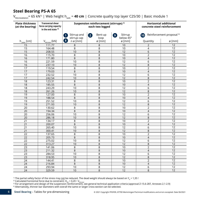$V_{\text{Rd} \text{ installation}}$  = 65 kN<sup>1)</sup> | Web height h<sub>web</sub> = **40 cm** | Concrete quality top layer C25/30 | Basic module 1

| <b>Plate thickness</b><br>(at the bearing) | <b>Transversal shear</b><br>force carrying capacity<br>in the end state $2$ ) |                                            | Suspension reinforcement (stirrups) <sup>3)</sup><br>each two legged | <b>Horizontal additional</b><br>concrete steel reinforcement |                    |                                      |
|--------------------------------------------|-------------------------------------------------------------------------------|--------------------------------------------|----------------------------------------------------------------------|--------------------------------------------------------------|--------------------|--------------------------------------|
|                                            |                                                                               | Stirrup and<br>$\mathbf{1}$<br>stirrup cap | Bent-up<br>$\mathbf{Z}$<br>loop                                      | Stirrup<br>$\circ$<br>below 45°                              | (10)               | Reinforcement proposal <sup>4)</sup> |
| $h_{\text{plate}}$ [cm]                    | $V_{Rd, total}$ [kN]                                                          | $\mathbf{[8]}$<br>$n \varnothing$ [mm]     | Ø[mm]                                                                | Ø[mm]                                                        | Quantity           | ø [mm]                               |
| 15                                         | 111.77                                                                        | 8                                          | 8                                                                    | 10                                                           | $\overline{2}$     | 12                                   |
| 15                                         | 164.48                                                                        | 8                                          | 8                                                                    | 10                                                           | 4                  | $\overline{12}$                      |
| 15                                         | 208.55                                                                        | 10                                         | 8                                                                    | 12                                                           | 6                  | 12                                   |
| 16                                         | 115.70                                                                        | 8                                          | 8                                                                    | 10                                                           | $\overline{2}$     | $\overline{12}$                      |
| 16                                         | 171.80                                                                        | 8                                          | $\bf 8$                                                              | 10                                                           | 4                  | 12                                   |
| 16                                         | 221.59                                                                        | 10                                         | 8                                                                    | $\overline{12}$                                              | 6                  | 12                                   |
| 16                                         | 237.10                                                                        | 10                                         | 8                                                                    | $\overline{12}$                                              | $\overline{8}$     | $\overline{12}$                      |
| 17                                         | 119.54                                                                        | 8                                          | 8                                                                    | 10                                                           | $\overline{2}$     | 12                                   |
| 17                                         | 179.03                                                                        | 8                                          | $\,8\,$                                                              | 10                                                           | $\overline{4}$     | 12                                   |
| $\overline{17}$                            | 232.52                                                                        | 10                                         | 8                                                                    | 12                                                           | 6                  | 12                                   |
| 17                                         | 242.54                                                                        | 10                                         | 8                                                                    | 12                                                           | 8                  | 12                                   |
| 18                                         | 123.31                                                                        | 8                                          | 8                                                                    | 10                                                           | $\overline{2}$     | $\overline{12}$                      |
| 18                                         | 185.55                                                                        | 8                                          | $\,8\,$                                                              | 10                                                           | $\overline{4}$     | 12                                   |
| 18                                         | 243.29                                                                        | 10                                         | 8                                                                    | 12                                                           | 6                  | $\overline{12}$                      |
| $\overline{18}$                            | 261.26                                                                        | 10                                         | $\overline{8}$                                                       | $\overline{12}$                                              | $\,8\,$            | $\overline{12}$                      |
| $\overline{19}$                            | 127.00                                                                        | 8                                          | $\overline{8}$                                                       | 10                                                           | $\overline{2}$     | $\overline{12}$                      |
| 19                                         | 188.54                                                                        | 8                                          | $\,8\,$                                                              | 10                                                           | $\overline{4}$     | $\overline{12}$                      |
| 19                                         | 251.52                                                                        | 10                                         | 8                                                                    | 12                                                           | 6                  | $\overline{12}$                      |
| 19                                         | 271.93                                                                        | 10                                         | 8                                                                    | $\overline{12}$                                              | 8                  | $\overline{12}$                      |
| 20                                         | 130.62                                                                        | 8                                          | 8                                                                    | 10                                                           | $\overline{2}$     | 12                                   |
| $\overline{20}$                            | 194.34                                                                        | 8                                          | 8                                                                    | 10                                                           | $\overline{4}$     | $\overline{12}$                      |
| 20                                         | 256.06                                                                        | 10                                         | 8                                                                    | 12                                                           | 6                  | 12                                   |
| 20                                         | 286.18                                                                        | 10                                         | 8                                                                    | 12                                                           | 8                  | $\overline{12}$                      |
| $\overline{21}$                            | 134.17                                                                        | 8                                          | 8                                                                    | 10                                                           | $\overline{2}$     | $\overline{12}$                      |
| 21                                         | 200.07                                                                        | 8                                          | $\,8\,$                                                              | 10                                                           | $\overline{4}$     | $\overline{12}$                      |
| $\overline{21}$                            | 265.40                                                                        | $\overline{10}$                            | $\overline{8}$                                                       | $\overline{12}$                                              | 6                  | $\overline{12}$                      |
| 21                                         | 300.41                                                                        | 10                                         | 8                                                                    | $\overline{12}$                                              | $\,8\,$            | 12                                   |
| $\overline{22}$                            | 137.65                                                                        | 8                                          | 8                                                                    | 10                                                           | $\overline{2}$     | $\overline{12}$                      |
| 22                                         | 205.73                                                                        | 8                                          | $\,8\,$                                                              | 10                                                           | $\overline{4}$     | 12                                   |
| 22                                         | 275.02                                                                        | 10                                         | 8                                                                    | 12                                                           | 6                  | 12                                   |
| 22                                         | 313.27                                                                        | 10                                         | $\,8\,$                                                              | $\overline{12}$                                              | $\overline{\bf 8}$ | $\overline{12}$                      |
| 23                                         | 141.06                                                                        | 8                                          | 8                                                                    | 10                                                           | $\overline{2}$     | 12                                   |
| 23                                         | 211.32                                                                        | 8                                          | 8                                                                    | 10                                                           | $\overline{4}$     | 12                                   |
| $\overline{23}$                            | 284.53                                                                        | 10                                         | 8                                                                    | 12                                                           | 6                  | $\overline{12}$                      |
| 23                                         | 318.95                                                                        | 10                                         | $\,8\,$                                                              | $\overline{12}$                                              | $\,8\,$            | 12                                   |
| 24                                         | 144.41                                                                        | $\,8\,$                                    | 8                                                                    | 10                                                           | $\overline{2}$     | $\overline{12}$                      |
| $\overline{24}$                            | 216.84                                                                        | $\overline{8}$                             | $\overline{8}$                                                       | 10                                                           | $\overline{4}$     | $\overline{12}$                      |
| 24                                         | 293.94                                                                        | 10                                         | 8                                                                    | 12                                                           | 6                  | $\overline{12}$                      |
| 24                                         | 329.59                                                                        | 10                                         | 8                                                                    | 12                                                           | 8                  | $\overline{12}$                      |

<sup>1)</sup> The partial safety factor of the stress may <u>not</u> be reduced. The dead weight should always be based on Y<sub>G</sub> = 1,35 !<br><sup>2)</sup> Calculated horizontal force due to constraint: H<sub>Rd</sub> = 0,20 · V<sub>Rd total</sub><br><sup>3)</sup> For arrangemen 4) Alternatively, thinner bar diameters with overall the same or larger cross-section can be selected.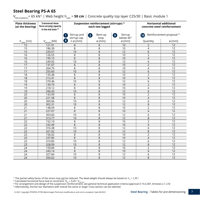$V_{\text{Rd} \text{ installation}}$  = 65 kN<sup>1)</sup> | Web height h<sub>web</sub> = **50 cm** | Concrete quality top layer C25/30 | Basic module 1

| <b>Plate thickness</b><br>(at the bearing) | <b>Transversal shear</b><br>force carrying capacity<br>in the end state $2$ ) |                                                                         | Suspension reinforcement (stirrups) <sup>3)</sup><br>each two legged | <b>Horizontal additional</b><br>concrete steel reinforcement |                          |                                      |
|--------------------------------------------|-------------------------------------------------------------------------------|-------------------------------------------------------------------------|----------------------------------------------------------------------|--------------------------------------------------------------|--------------------------|--------------------------------------|
|                                            |                                                                               | Stirrup and                                                             | Bent-up<br>$\mathbf{2}$                                              | Stirrup<br>9                                                 | (10)                     | Reinforcement proposal <sup>4)</sup> |
|                                            |                                                                               | stirrup cap                                                             | loop                                                                 | below 45°                                                    |                          |                                      |
| $h_{\text{plate}}$ [cm]                    | $V_{Rd, total}$ [kN]                                                          | $\left( \begin{array}{c} 8 \end{array} \right)$<br>$n \varnothing$ [mm] | Ø[mm]                                                                | $\varnothing$ [mm]                                           | Quantity                 | $\varnothing$ [mm]                   |
| 15                                         | 121.91                                                                        | 8                                                                       | 8                                                                    | 10                                                           | $\mathbf 2$              | $\overline{12}$                      |
| 15                                         | 186.39                                                                        | 8                                                                       | 8                                                                    | 10                                                           | 4                        | $\overline{12}$                      |
| 15                                         | 233.57                                                                        | 10                                                                      | 8                                                                    | 12                                                           | 6                        | 12                                   |
| 16                                         | 126.55                                                                        | 8                                                                       | 8                                                                    | 10                                                           | $\overline{2}$           | 12                                   |
| 16                                         | 195.15                                                                        | 8                                                                       | 8                                                                    | 10                                                           | $\overline{4}$           | 12                                   |
| 16                                         | 249.92                                                                        | 10                                                                      | 8                                                                    | $\overline{12}$                                              | 6                        | 12                                   |
| 17                                         | 131.07                                                                        | 8                                                                       | 8                                                                    | 10                                                           | $\overline{2}$           | $\overline{12}$                      |
| 17                                         | 204.70                                                                        | 8                                                                       | 8                                                                    | 10                                                           | $\overline{\mathcal{L}}$ | 12                                   |
| 17                                         | 255.60                                                                        | 10                                                                      | 8                                                                    | 12                                                           | 6                        | 12                                   |
| 18                                         | 135.48                                                                        | 8                                                                       | 8                                                                    | 10                                                           | $\overline{2}$           | $\overline{12}$                      |
| $\overline{18}$                            | 212.41                                                                        | $\overline{8}$                                                          | $\overline{8}$                                                       | 10                                                           | $\overline{4}$           | $\overline{12}$                      |
| 18                                         | 270.46                                                                        | 10                                                                      | 8                                                                    | $\overline{12}$                                              | 6                        | $\overline{12}$                      |
| 19                                         | 139.79                                                                        | 8                                                                       | 8                                                                    | 10                                                           | $\overline{2}$           | 12                                   |
| 19                                         | 218.12                                                                        | 8                                                                       | 8                                                                    | 10                                                           | 4                        | $\overline{12}$                      |
| 19                                         | 290.43                                                                        | 10                                                                      | $\overline{8}$                                                       | $\overline{12}$                                              | 6                        | $\overline{12}$                      |
| 20                                         | 143.99                                                                        | 8                                                                       | 8                                                                    | 10                                                           | $\overline{2}$           | $\overline{12}$                      |
| 20                                         | 221.58                                                                        | 8                                                                       | 8                                                                    | 10                                                           | $\overline{4}$           | $\overline{12}$                      |
| 20                                         | 300.06                                                                        | 10                                                                      | 8                                                                    | 12                                                           | 6                        | 12                                   |
| 20                                         | 302.31                                                                        | 10                                                                      | 8                                                                    | 12                                                           | 8                        | 12                                   |
| 21                                         | 148.09                                                                        | 8                                                                       | $\overline{8}$                                                       | 10                                                           | $\overline{2}$           | $\overline{12}$                      |
| 21                                         | 227.07                                                                        | 8                                                                       | 8                                                                    | 10                                                           | $\overline{4}$           | $\overline{12}$                      |
| 21                                         | 303.60                                                                        | 10                                                                      | 8                                                                    | $\overline{12}$                                              | 6                        | 12                                   |
| 21                                         | 313.77                                                                        | 10                                                                      | 8                                                                    | $\overline{12}$                                              | 8                        | 12                                   |
| $\overline{22}$                            | 152.10                                                                        | $\overline{8}$                                                          | $\overline{8}$                                                       | 10                                                           | $\overline{2}$           | 12                                   |
| 22                                         | 232.49                                                                        | 8                                                                       | 8                                                                    | 10                                                           | $\overline{4}$           | $\overline{12}$                      |
| 22                                         | 316.38                                                                        | 10                                                                      | $\overline{8}$                                                       | $\overline{12}$                                              | 6                        | $\overline{12}$                      |
| $\overline{22}$                            | 321.02                                                                        | 10                                                                      | $\overline{8}$                                                       | 12                                                           | $\,8\,$                  | 12                                   |
| 23                                         | 156.02                                                                        | 8                                                                       | 8                                                                    | 10                                                           | $\overline{2}$           | $\overline{12}$                      |
| 23                                         | 237.85                                                                        | 8                                                                       | 8                                                                    | 10                                                           | 4                        | 12                                   |
| 23                                         | 319.85                                                                        | 10                                                                      | $\overline{8}$                                                       | $\overline{12}$                                              | $\overline{6}$           | 12                                   |
| $\overline{23}$                            | 328.99                                                                        | 10                                                                      | $\overline{8}$                                                       | $\overline{12}$                                              | $\,8\,$                  | $\overline{12}$                      |
| 24                                         | 159.84                                                                        | 8                                                                       | 8                                                                    | 10                                                           | $\overline{2}$           | $\overline{12}$                      |
| 24                                         | 243.14                                                                        | 8                                                                       | 8                                                                    | 10                                                           | $\overline{4}$           | 12                                   |
| 24                                         | 327.84                                                                        | 10                                                                      | 8                                                                    | 12                                                           | 6                        | 12                                   |
| 24                                         | 350.02                                                                        | 10                                                                      | 8                                                                    | 12                                                           | 8                        | 12                                   |

<sup>1)</sup> The partial safety factor of the stress may <u>not</u> be reduced. The dead weight should always be based on Y<sub>G</sub> = 1,35 !<br><sup>2)</sup> Calculated horizontal force due to constraint: H<sub>Rd</sub> = 0,20 · V<sub>Rd total</sub><br><sup>3)</sup> For arrangemen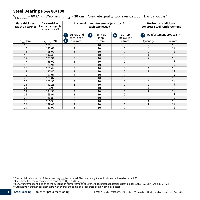#### **Steel Bearing PS-A 80/100**

 $V_{\text{Rd,installation}}$  = 80 kN<sup>1)</sup> | Web height h<sub>web</sub> = **30 cm** | Concrete quality top layer C25/30 | Basic module 1

| <b>Plate thickness</b><br>(at the bearing) | <b>Transversal shear</b><br>force carrying capacity<br>in the end state $2$ ) |                             | Suspension reinforcement (stirrups) 3)<br>each two legged |                            | <b>Horizontal additional</b><br>concrete steel reinforcement |                                      |
|--------------------------------------------|-------------------------------------------------------------------------------|-----------------------------|-----------------------------------------------------------|----------------------------|--------------------------------------------------------------|--------------------------------------|
|                                            |                                                                               | Stirrup and<br>stirrup cap  | Bent-up<br>$\mathbf{2}$<br>loop                           | Stirrup<br>9)<br>below 45° | (10)                                                         | Reinforcement proposal <sup>4)</sup> |
| $h_{\text{plate}}$ [cm]                    | $V_{Rd, total}$ [kN]                                                          | (8)<br>$n \varnothing$ [mm] | $\varnothing$ [mm]                                        | $\varnothing$ [mm]         | Quantity                                                     | $\varnothing$ [mm]                   |
| 15                                         | 125.13                                                                        | 8                           | 10                                                        | 10                         | 2                                                            | 12                                   |
| 15                                         | 135.63                                                                        | 8                           | 10                                                        | 10                         | 4                                                            | 12                                   |
| 16                                         | 128.92                                                                        | 8                           | 10                                                        | 10                         | $\overline{2}$                                               | 12                                   |
| 16                                         | 144.40                                                                        | 8                           | 10                                                        | 10                         | 4                                                            | 12                                   |
| 17                                         | 132.31                                                                        | 8                           | 10                                                        | 10                         | $\overline{2}$                                               | 12                                   |
| 17                                         | 153.00                                                                        | 8                           | 10                                                        | 10                         | 4                                                            | 12                                   |
| 18                                         | 134.91                                                                        | 8                           | 10                                                        | 10                         | $\overline{2}$                                               | 12                                   |
| 18                                         | 161.44                                                                        | 8                           | 10                                                        | 10                         | 4                                                            | 12                                   |
| 19                                         | 137.42                                                                        | 8                           | 10                                                        | 10                         | $\overline{2}$                                               | 12                                   |
| 19                                         | 163.01                                                                        | 8                           | 10                                                        | 10                         | 4                                                            | 12                                   |
| 20                                         | 139.87                                                                        | 8                           | 10                                                        | 10                         | $\overline{2}$                                               | 12                                   |
| 20                                         | 163.96                                                                        | 8                           | 10                                                        | 10                         | 4                                                            | 12                                   |
| 21                                         | 142.26                                                                        | 8                           | 10                                                        | 10                         | $\overline{2}$                                               | 12                                   |
| 21                                         | 164.93                                                                        | 8                           | 10                                                        | 10                         | 4                                                            | 12                                   |
| 22                                         | 144.58                                                                        | 8                           | 10                                                        | 10                         | $\overline{2}$                                               | 12                                   |
| 22                                         | 165.91                                                                        | 8                           | 10                                                        | 10                         | 4                                                            | 12                                   |
| 23                                         | 146.86                                                                        | 8                           | 10                                                        | 10                         | $\overline{2}$                                               | 12                                   |
| 23                                         | 166.90                                                                        | 8                           | 10                                                        | 10                         | 4                                                            | 12                                   |
| 24                                         | 149.08                                                                        | 8                           | 10                                                        | 10                         | $\overline{2}$                                               | 12                                   |
| 24                                         | 167.90                                                                        | 8                           | 10                                                        | 10                         | 4                                                            | 12                                   |

<sup>1)</sup> The partial safety factor of the stress may <u>not</u> be reduced. The dead weight should always be based on Y<sub>G</sub> = 1,35 !<br><sup>2)</sup> Calculated horizontal force due to constraint: H<sub>Rd</sub> = 0,20 · V<sub>Rd total</sub><br><sup>3)</sup> For arrangemen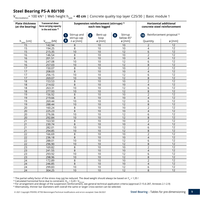#### **Steel Bearing PS-A 80/100**

V<sub>Rd.installation</sub>= 100 kN<sup>1)</sup> | Web height h<sub>web</sub> = **40 cm** | Concrete quality top layer C25/30 | Basic module 1

| <b>Plate thickness</b><br>(at the bearing) | <b>Transversal shear</b><br>force carrying capacity<br>in the end state <sup>2)</sup> | Suspension reinforcement (stirrups) <sup>3)</sup><br>each two legged    |                      |                                   | <b>Horizontal additional</b><br>concrete steel reinforcement |                                      |  |
|--------------------------------------------|---------------------------------------------------------------------------------------|-------------------------------------------------------------------------|----------------------|-----------------------------------|--------------------------------------------------------------|--------------------------------------|--|
|                                            |                                                                                       | Stirrup and<br>$\mathbf{1}$<br>stirrup cap                              | Bent-up<br>2<br>loop | Stirrup<br>$\bullet$<br>below 45° | $\mathbf{10}$                                                | Reinforcement proposal <sup>4)</sup> |  |
| $h_{\text{plate}}$ [cm]                    | $V_{Rd, total}$ [kN]                                                                  | $\left( \begin{array}{c} 8 \end{array} \right)$<br>$n \varnothing$ [mm] | ø [mm]               | $\varnothing$ [mm]                | Quantity                                                     | ø [mm]                               |  |
| 15                                         | 142.94                                                                                | 8                                                                       | 10                   | 10                                | $\overline{2}$                                               | 12                                   |  |
| 15                                         | 194.25                                                                                | 8                                                                       | 10                   | 10                                | 4                                                            | $\overline{12}$                      |  |
| 15                                         | 215.35                                                                                | 10                                                                      | 10                   | 12                                | 6                                                            | 12                                   |  |
| 16                                         | 146.54                                                                                | 8                                                                       | 10                   | 10                                | $\overline{2}$                                               | $\overline{12}$                      |  |
| 16                                         | 201.51                                                                                | $\,8\,$                                                                 | 10                   | 10                                | $\overline{4}$                                               | 12                                   |  |
| 16                                         | 247.08                                                                                | 10                                                                      | 10                   | 12                                | 6                                                            | 12                                   |  |
| $\overline{16}$                            | 257.03                                                                                | 10                                                                      | 10                   | 12                                | $\overline{8}$                                               | $\overline{12}$                      |  |
| 17                                         | 150.07                                                                                | 8                                                                       | 10                   | 10                                | $\overline{2}$                                               | 12                                   |  |
| 17                                         | 208.03                                                                                | 8                                                                       | 10                   | 10                                | $\overline{4}$                                               | 12                                   |  |
| 17                                         | 256.15                                                                                | 10                                                                      | 10                   | 12                                | 6                                                            | 12                                   |  |
| 17                                         | 269.07                                                                                | 10                                                                      | 10                   | 12                                | 8                                                            | 12                                   |  |
| 18                                         | 153.53                                                                                | 8                                                                       | 10                   | 10                                | $\overline{2}$                                               | $\overline{12}$                      |  |
| 18                                         | 214.02                                                                                | $\,8\,$                                                                 | 10                   | 10                                | $\overline{4}$                                               | $\overline{12}$                      |  |
| 18                                         | 263.31                                                                                | 10                                                                      | 10                   | 12                                | 6                                                            | 12                                   |  |
| $\overline{18}$                            | 277.93                                                                                | 10                                                                      | 10                   | 12                                | 8                                                            | $\overline{12}$                      |  |
| 19                                         | 156.92                                                                                | 8                                                                       | 10                   | 10                                | $\overline{2}$                                               | 12                                   |  |
| 19                                         | 219.66                                                                                | $\,8\,$                                                                 | 10                   | 10                                | $\overline{4}$                                               | 12                                   |  |
| 19                                         | 269.44                                                                                | 10                                                                      | 10                   | 12                                | 6                                                            | $\overline{12}$                      |  |
| 19                                         | 288.44                                                                                | 10                                                                      | 10                   | 12                                | 8                                                            | 12                                   |  |
| 20                                         | 160.24                                                                                | 8                                                                       | 10                   | 10                                | $\overline{2}$                                               | 12                                   |  |
| 20                                         | 225.23                                                                                | $\,8\,$                                                                 | 10                   | 10                                | $\overline{4}$                                               | $\overline{12}$                      |  |
| 20                                         | 276.06                                                                                | 10                                                                      | 10                   | 12                                | 6                                                            | 12                                   |  |
| 20                                         | 292.84                                                                                | 10                                                                      | 10                   | 12                                | 8                                                            | 12                                   |  |
| 21                                         | 163.50                                                                                | 8                                                                       | 10                   | 10                                | $\overline{2}$                                               | $\overline{12}$                      |  |
| 21                                         | 230.74                                                                                | 8                                                                       | 10                   | 10                                | $\overline{4}$                                               | 12                                   |  |
| $\overline{21}$                            | 282.01                                                                                | 10                                                                      | $\overline{10}$      | $\overline{12}$                   | 6                                                            | $\overline{12}$                      |  |
| 21                                         | 294.85                                                                                | 10                                                                      | 10                   | $\overline{12}$                   | 8                                                            | 12                                   |  |
| 22                                         | 166.69                                                                                | 8                                                                       | 10                   | 10                                | $\overline{2}$                                               | 12                                   |  |
| 22                                         | 236.18                                                                                | 8                                                                       | 10                   | 10                                | $\overline{4}$                                               | $\overline{12}$                      |  |
| 22                                         | 288.01                                                                                | 10                                                                      | 10                   | 12                                | 6                                                            | 12                                   |  |
| $\overline{22}$                            | 296.90                                                                                | 10                                                                      | 10                   | $\overline{12}$                   | 8                                                            | $\overline{12}$                      |  |
| $\overline{23}$                            | 169.82                                                                                | 8                                                                       | 10                   | 10                                | $\overline{2}$                                               | $\overline{12}$                      |  |
| 23                                         | 241.55                                                                                | 8                                                                       | 10                   | 10                                | $\overline{4}$                                               | 12                                   |  |
| 23                                         | 293.92                                                                                | 10                                                                      | 10                   | $\overline{12}$                   | 6                                                            | $\overline{12}$                      |  |
| 23                                         | 298.96                                                                                | 10                                                                      | 10                   | 12                                | 8                                                            | 12                                   |  |
| 24                                         | 172.89                                                                                | 8                                                                       | 10                   | 10                                | $\overline{2}$                                               | $\overline{12}$                      |  |
| $\overline{24}$                            | 246.85                                                                                | $\overline{8}$                                                          | 10                   | 10                                | $\overline{4}$                                               | $\overline{12}$                      |  |
| 24                                         | 299.83                                                                                | 10                                                                      | 10                   | $\overline{12}$                   | 6                                                            | 12                                   |  |
| 24                                         | 304.25                                                                                | 10                                                                      | 10                   | 12                                | 8                                                            | $\overline{12}$                      |  |

<sup>1)</sup> The partial safety factor of the stress may <u>not</u> be reduced. The dead weight should always be based on Y<sub>G</sub> = 1,35 !<br><sup>2)</sup> Calculated horizontal force due to constraint: H<sub>Rd</sub> = 0,20 · V<sub>Rd total</sub><br><sup>3)</sup> For arrangemen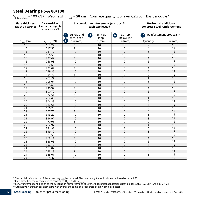#### **Steel Bearing PS-A 80/100**

V<sub>Rd.installation</sub>= 100 kN<sup>1)</sup> | Web height h<sub>web</sub> = **50 cm** | Concrete quality top layer C25/30 | Basic module 1

| <b>Plate thickness</b><br>(at the bearing) | <b>Transversal shear</b><br>force carrying capacity<br>in the end state $2$ ) |                                   | Suspension reinforcement (stirrups) <sup>3)</sup><br>each two legged | <b>Horizontal additional</b><br>concrete steel reinforcement |                |                                      |
|--------------------------------------------|-------------------------------------------------------------------------------|-----------------------------------|----------------------------------------------------------------------|--------------------------------------------------------------|----------------|--------------------------------------|
|                                            |                                                                               | Stirrup and                       | Bent-up<br>$\mathbf{2}$                                              | Stirrup<br>9.                                                | (10)           | Reinforcement proposal <sup>4)</sup> |
|                                            |                                                                               | stirrup cap                       | loop                                                                 | below 45°                                                    |                |                                      |
| $h_{\text{plate}}$ [cm]                    | $V_{Rd, total}$ [kN]                                                          | $\bullet$<br>$n \varnothing$ [mm] | Ø[mm]                                                                | ø [mm]                                                       | Quantity       | $\varnothing$ [mm]                   |
| 15                                         | 152.24                                                                        | 8                                 | $\overline{10}$                                                      | 10                                                           | $\overline{2}$ | 12                                   |
| 15                                         | 217.55                                                                        | 8                                 | 10                                                                   | 10                                                           | 4              | $\overline{12}$                      |
| 15                                         | 261.12                                                                        | 10                                | 10                                                                   | 12                                                           | 6              | 12                                   |
| 16                                         | 156.50                                                                        | 8                                 | 10                                                                   | 10                                                           | $\overline{2}$ | $\overline{12}$                      |
| 16                                         | 227.42                                                                        | 8                                 | 10                                                                   | 10                                                           | $\overline{4}$ | $\overline{12}$                      |
| 16                                         | 268.98                                                                        | 10                                | 10                                                                   | 12                                                           | 6              | $\overline{12}$                      |
| 17                                         | 160.65                                                                        | 8                                 | 10                                                                   | 10                                                           | $\overline{2}$ | $\overline{12}$                      |
| 17                                         | 233.07                                                                        | 8                                 | 10                                                                   | 10                                                           | $\overline{4}$ | $\overline{12}$                      |
| 17                                         | 279.85                                                                        | 10                                | 10                                                                   | 12                                                           | 6              | 12                                   |
| 18                                         | 164.70                                                                        | 8                                 | 10                                                                   | 10                                                           | $\overline{2}$ | $\overline{12}$                      |
| $\overline{18}$                            | 239.74                                                                        | $\overline{8}$                    | 10                                                                   | 10                                                           | $\overline{4}$ | $\overline{12}$                      |
| $\overline{18}$                            | 295.04                                                                        | 10                                | 10                                                                   | $\overline{12}$                                              | $\overline{6}$ | 12                                   |
| 19                                         | 168.65                                                                        | $\,8\,$                           | 10                                                                   | 10                                                           | $\overline{2}$ | $\overline{12}$                      |
| 19                                         | 246.32                                                                        | 8                                 | 10                                                                   | 10                                                           | 4              | 12                                   |
| 19                                         | 300.79                                                                        | 10                                | 10                                                                   | $\overline{12}$                                              | 6              | $\overline{12}$                      |
| 20                                         | 172.51                                                                        | 8                                 | 10                                                                   | 10                                                           | $\overline{2}$ | $\overline{12}$                      |
| 20                                         | 252.49                                                                        | $\overline{8}$                    | 10                                                                   | $\overline{10}$                                              | $\overline{4}$ | $\overline{12}$                      |
| 20                                         | 304.88                                                                        | 10                                | 10                                                                   | 12                                                           | 6              | 12                                   |
| 20                                         | 317.61                                                                        | 10                                | 10                                                                   | 12                                                           | 8              | 12                                   |
| 21                                         | 176.28                                                                        | 8                                 | 10                                                                   | 10                                                           | $\overline{2}$ | $\overline{12}$                      |
| 21                                         | 257.76                                                                        | 8                                 | 10                                                                   | 10                                                           | $\overline{4}$ | $\overline{12}$                      |
| 21                                         | 313.29                                                                        | 10                                | 10                                                                   | 12                                                           | 6              | $\overline{12}$                      |
| $\overline{21}$                            | 334.97                                                                        | 10                                | 10                                                                   | 12                                                           | 8              | $\overline{12}$                      |
| 22                                         | 179.96                                                                        | 8                                 | 10                                                                   | 10                                                           | $\overline{2}$ | 12                                   |
| 22                                         | 262.97                                                                        | $\,8\,$                           | 10                                                                   | 10                                                           | $\overline{4}$ | 12                                   |
| 22                                         | 321.92                                                                        | 10                                | 10                                                                   | $\overline{12}$                                              | 6              | 12                                   |
| 22                                         | 349.12                                                                        | 10                                | 10                                                                   | 12                                                           | 8              | $\overline{12}$                      |
| 23                                         | 183.55                                                                        | 8                                 | 10                                                                   | 10                                                           | $\overline{2}$ | 12                                   |
| 23                                         | 268.11                                                                        | $\,8\,$                           | 10                                                                   | 10                                                           | $\overline{4}$ | 12                                   |
| 23                                         | 328.05                                                                        | 10                                | 10                                                                   | 12                                                           | 6              | 12                                   |
| $\overline{23}$                            | 352.12                                                                        | 10                                | 10                                                                   | 12                                                           | 8              | 12                                   |
| 24                                         | 187.07                                                                        | 8                                 | 10                                                                   | $\overline{10}$                                              | $\overline{2}$ | $\overline{12}$                      |
| 24                                         | 273.18                                                                        | 8                                 | 10                                                                   | 10                                                           | $\overline{4}$ | 12                                   |
| 24                                         | 335.01                                                                        | 10                                | 10                                                                   | 12                                                           | 6              | 12                                   |
| 24                                         | 365.37                                                                        | 10                                | 10                                                                   | 12                                                           | 8              | $\overline{12}$                      |

<sup>1)</sup> The partial safety factor of the stress may <u>not</u> be reduced. The dead weight should always be based on Y<sub>G</sub> = 1,35!<br><sup>2)</sup> Calculated horizontal force due to constraint: H<sub>Rd</sub> = 0,20 • V<sub>Rd,total</sub><br><sup>3)</sup> For arrangement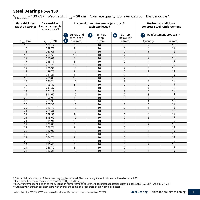V<sub>Rd.installation</sub>= 130 kN<sup>1)</sup> | Web height h<sub>web</sub> = **50 cm** | Concrete quality top layer C25/30 | Basic module 1

| <b>Plate thickness</b><br>(at the bearing) | <b>Transversal shear</b><br>force carrying capacity<br>in the end state $2$ ) |                                        | Suspension reinforcement (stirrups) <sup>3)</sup><br>each two legged | <b>Horizontal additional</b><br>concrete steel reinforcement |                |                                      |
|--------------------------------------------|-------------------------------------------------------------------------------|----------------------------------------|----------------------------------------------------------------------|--------------------------------------------------------------|----------------|--------------------------------------|
|                                            |                                                                               | Stirrup and<br>stirrup cap             | Bent-up<br>2<br>loop                                                 | Stirrup<br>$\bullet$<br>below 45°                            | (10)           | Reinforcement proposal <sup>4)</sup> |
| $h_{\text{plate}}$ [cm]                    | $V_{Rd, total}$ [kN]                                                          | 8 <sup>1</sup><br>$n \varnothing$ [mm] | ø [mm]                                                               | ø [mm]                                                       | Quantity       | Ø[mm]                                |
| 16                                         | 182.17                                                                        | 8                                      | 10                                                                   | 10                                                           | $\overline{2}$ | $\overline{12}$                      |
| 16                                         | 228.72                                                                        | 8                                      | 10                                                                   | 10                                                           | 4              | $\overline{12}$                      |
| 16                                         | 283.66                                                                        | 10                                     | 10                                                                   | 12                                                           | 6              | 12                                   |
| 16                                         | 290.59                                                                        | 10                                     | 10                                                                   | 12                                                           | 8              | 12                                   |
| 17                                         | 186.01                                                                        | 8                                      | 10                                                                   | 10                                                           | $\overline{2}$ | $\overline{12}$                      |
| 17                                         | 235.11                                                                        | 8                                      | 10                                                                   | 10                                                           | 4              | $\overline{12}$                      |
| 17                                         | 289.72                                                                        | 10                                     | 10                                                                   | $\overline{12}$                                              | 6              | $\overline{12}$                      |
| 17                                         | 296.36                                                                        | 10                                     | 10                                                                   | $\overline{12}$                                              | 8              | $\overline{12}$                      |
| $\overline{18}$                            | 189.75                                                                        | 8                                      | 10                                                                   | 10                                                           | $\overline{2}$ | $\overline{12}$                      |
| 18                                         | 241.36                                                                        | 8                                      | 10                                                                   | 10                                                           | 4              | $\overline{12}$                      |
| 18                                         | 295.00                                                                        | 10                                     | 10                                                                   | $\overline{12}$                                              | 6              | 12                                   |
| 18                                         | 296.24                                                                        | 10                                     | 10                                                                   | 12                                                           | 8              | 12                                   |
| 19                                         | 193.40                                                                        | 8                                      | 10                                                                   | 10                                                           | $\overline{2}$ | 12                                   |
| 19                                         | 247.47                                                                        | 8                                      | 10                                                                   | 10                                                           | 4              | $\overline{12}$                      |
| 19                                         | 301.17                                                                        | 10                                     | 10                                                                   | $\overline{12}$                                              | 6              | $\overline{12}$                      |
| 19                                         | 311.62                                                                        | 10                                     | 10                                                                   | 12                                                           | 8              | $\overline{12}$                      |
| 20                                         | 196.96                                                                        | 8                                      | 10                                                                   | 10                                                           | $\overline{2}$ | $\overline{12}$                      |
| 20                                         | 253.30                                                                        | 8                                      | 10                                                                   | 10                                                           | 4              | $\overline{12}$                      |
| 20                                         | 307.37                                                                        | 10                                     | 10                                                                   | 12                                                           | 6              | 12                                   |
| 20                                         | 313.77                                                                        | 10                                     | 10                                                                   | 12                                                           | 8              | $\overline{12}$                      |
| 21                                         | 200.44                                                                        | 8                                      | 10                                                                   | 10                                                           | $\overline{2}$ | 12                                   |
| 21                                         | 258.57                                                                        | 8                                      | 10                                                                   | 10                                                           | 4              | 12                                   |
| 21                                         | 313.62                                                                        | 10                                     | 10                                                                   | 12                                                           | $\overline{6}$ | 12                                   |
| 21                                         | 315.91                                                                        | 10                                     | 10                                                                   | 12                                                           | 8              | $\overline{12}$                      |
| 22                                         | 203.83                                                                        | 8                                      | 10                                                                   | 10                                                           | $\overline{2}$ | 12                                   |
| 22                                         | 263.76                                                                        | 8                                      | 10                                                                   | $\overline{10}$                                              | 4              | $\overline{12}$                      |
| 22                                         | 320.07                                                                        | 10                                     | 10                                                                   | 12                                                           | 6              | 12                                   |
| 23                                         | 207.15                                                                        | 8                                      | 10                                                                   | 10                                                           | $\overline{2}$ | $\overline{12}$                      |
| 23                                         | 266.76                                                                        | 8                                      | 10                                                                   | 10                                                           | $\overline{4}$ | 12                                   |
| 23                                         | 320.15                                                                        | 10                                     | 10                                                                   | 12                                                           | 6              | $\overline{12}$                      |
| $\overline{24}$                            | 210.40                                                                        | 8                                      | 10                                                                   | 10                                                           | $\overline{2}$ | 12                                   |
| 24                                         | 268.10                                                                        | 8                                      | 10                                                                   | 10                                                           | 4              | 12                                   |
| 24                                         | 322.25                                                                        | 10                                     | 10                                                                   | 12                                                           | 6              | 12                                   |

<sup>1)</sup> The partial safety factor of the stress may <u>not</u> be reduced. The dead weight should always be based on Y<sub>G</sub> = 1,35 !<br><sup>2)</sup> Calculated horizontal force due to constraint: H<sub>Rd</sub> = 0,20 · V<sub>Rd total</sub><br><sup>3)</sup> For arrangemen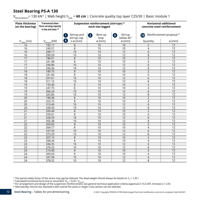V<sub>Rd.installation</sub>= 130 kN<sup>1)</sup> | Web height h<sub>web</sub> = **60 cm** | Concrete quality top layer C25/30 | Basic module 1

| <b>Plate thickness</b><br>(at the bearing) | <b>Transversal shear</b><br>force carrying capacity<br>in the end state $2$ ) | Suspension reinforcement (stirrups) <sup>3)</sup><br>each two legged |                      |                                           | <b>Horizontal additional</b><br>concrete steel reinforcement |                                      |  |
|--------------------------------------------|-------------------------------------------------------------------------------|----------------------------------------------------------------------|----------------------|-------------------------------------------|--------------------------------------------------------------|--------------------------------------|--|
|                                            |                                                                               | Stirrup and<br>stirrup cap                                           | Bent-up<br>2<br>loop | Stirrup<br>$\left( 9\right)$<br>below 45° | (10)                                                         | Reinforcement proposal <sup>4)</sup> |  |
| $h_{\text{plate}}$ [cm]                    | $V_{Rd, total}$ [kN]                                                          | $\bullet$<br>$n \varnothing$ [mm]                                    | ø [mm]               | ø [mm]                                    | Quantity                                                     | Ø[mm]                                |  |
| 16                                         | 182.17                                                                        | 8                                                                    | 10                   | 10                                        | $\overline{2}$                                               | $\overline{12}$                      |  |
| 16                                         | 240.21                                                                        | 8                                                                    | 10                   | 10                                        | 4                                                            | 12                                   |  |
| 16                                         | 288.17                                                                        | 10                                                                   | 10                   | 12                                        | 6                                                            | 12                                   |  |
| $\overline{16}$                            | 290.59                                                                        | 10                                                                   | 10                   | $\overline{12}$                           | $\,8\,$                                                      | 12                                   |  |
| 17                                         | 186.01                                                                        | 8                                                                    | 10                   | 10                                        | $\overline{2}$                                               | 12                                   |  |
| 17                                         | 241.08                                                                        | 8                                                                    | 10                   | 10                                        | 4                                                            | 12                                   |  |
| 17                                         | 290.80                                                                        | 10                                                                   | 10                   | 12                                        | 6                                                            | 12                                   |  |
| 17                                         | 296.36                                                                        | 10                                                                   | 10                   | $\overline{12}$                           | 8                                                            | $\overline{12}$                      |  |
| $\overline{18}$                            | 189.75                                                                        | 8                                                                    | 10                   | 10                                        | $\overline{2}$                                               | 12                                   |  |
| 18                                         | 241.96                                                                        | 8                                                                    | 10                   | 10                                        | 4                                                            | 12                                   |  |
| 18                                         | 297.61                                                                        | 10                                                                   | 10                   | 12                                        | 6                                                            | 12                                   |  |
| $\overline{18}$                            | 311.15                                                                        | 10                                                                   | 10                   | $\overline{12}$                           | $\overline{\bf 8}$                                           | 12                                   |  |
| 19                                         | 193.40                                                                        | 8                                                                    | 10                   | 10                                        | $\overline{2}$                                               | 12                                   |  |
| 19                                         | 247.75                                                                        | 8                                                                    | 10                   | 10                                        | 4                                                            | 12                                   |  |
| 19                                         | 306.24                                                                        | 10                                                                   | 10                   | 12                                        | 6                                                            | 12                                   |  |
| 19                                         | 325.85                                                                        | 10                                                                   | 10                   | $\overline{12}$                           | 8                                                            | 12                                   |  |
| $\overline{20}$                            | 196.96                                                                        | 8                                                                    | 10                   | 10                                        | $\overline{2}$                                               | 12                                   |  |
| 20                                         | 253.72                                                                        | 8                                                                    | 10                   | 10                                        | 4                                                            | 12                                   |  |
| $\overline{20}$                            | 310.40                                                                        | 10                                                                   | 10                   | 12                                        | 6                                                            | 12                                   |  |
| 20                                         | 339.93                                                                        | 10                                                                   | 10                   | 12                                        | 8                                                            | $\overline{12}$                      |  |
| 21                                         | 200.44                                                                        | 8                                                                    | 10                   | 10                                        | $\overline{2}$                                               | 12                                   |  |
| 21                                         | 259.01                                                                        | 8                                                                    | 10                   | 10                                        | 4                                                            | 12                                   |  |
| 21                                         | 328.29                                                                        | 10                                                                   | 10                   | 12                                        | 6                                                            | 12                                   |  |
| 21                                         | 355.38                                                                        | 10                                                                   | 10                   | $\overline{12}$                           | $\overline{\bf 8}$                                           | 12                                   |  |
| 22                                         | 203.83                                                                        | $\,8\,$                                                              | 10                   | 10                                        | $\overline{2}$                                               | 12                                   |  |
| 22                                         | 264.17                                                                        | 8                                                                    | 10                   | 10                                        | 4                                                            | 12                                   |  |
| 22                                         | 337.35                                                                        | 10                                                                   | 10                   | 12                                        | 6                                                            | 12                                   |  |
| 22                                         | 375.29                                                                        | 10                                                                   | 10                   | 12                                        | 8                                                            | 12                                   |  |
| $\overline{23}$                            | 207.15                                                                        | 8                                                                    | 10                   | 10                                        | $\overline{2}$                                               | 12                                   |  |
| 23                                         | 268.34                                                                        | 8                                                                    | 10                   | 10                                        | 4                                                            | 12                                   |  |
| $\overline{23}$                            | 344.35                                                                        | 10                                                                   | 10                   | 12                                        | 6                                                            | 12                                   |  |
| 23                                         | 376.23                                                                        | 10                                                                   | 10                   | 12                                        | 8                                                            | $\overline{12}$                      |  |
| 24                                         | 210.40                                                                        | 8                                                                    | 10                   | 10                                        | $\overline{2}$                                               | 12                                   |  |
| 24                                         | 269.54                                                                        | 8                                                                    | 10                   | 10                                        | 4                                                            | 12                                   |  |
| 24                                         | 347.58                                                                        | 10                                                                   | 10                   | 12                                        | 6                                                            | 12                                   |  |
| 24                                         | 378.52                                                                        | 10                                                                   | 10                   | 12                                        | 8                                                            | 12                                   |  |

<sup>1)</sup> The partial safety factor of the stress may <u>not</u> be reduced. The dead weight should always be based on Y<sub>G</sub> = 1,35!<br><sup>2)</sup> Calculated horizontal force due to constraint: H<sub>Rd</sub> = 0,20 • V<sub>Rd,total</sub><br><sup>3)</sup> For arrangement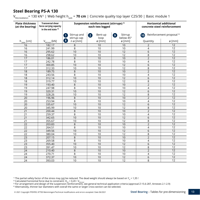V<sub>Rd.installation</sub>= 130 kN<sup>1)</sup> | Web height h<sub>web</sub> = **70 cm** | Concrete quality top layer C25/30 | Basic module 1

| <b>Plate thickness</b><br>(at the bearing) | <b>Transversal shear</b><br>force carrying capacity<br>in the end state $2$ ) | Suspension reinforcement (stirrups) <sup>3)</sup><br>each two legged |                      |                                   | <b>Horizontal additional</b><br>concrete steel reinforcement |                                      |  |
|--------------------------------------------|-------------------------------------------------------------------------------|----------------------------------------------------------------------|----------------------|-----------------------------------|--------------------------------------------------------------|--------------------------------------|--|
|                                            |                                                                               | Stirrup and<br>-1<br>stirrup cap                                     | Bent-up<br>2<br>loop | Stirrup<br>$\bullet$<br>below 45° | (10)                                                         | Reinforcement proposal <sup>4)</sup> |  |
| $h_{\text{plate}}$ [cm]                    | $V_{Rd, total}$ [kN]                                                          | $\left( 8 \right)$<br>$n \varnothing$ [mm]                           | ø [mm]               | $\varnothing$ [mm]                | Quantity                                                     | Ø[mm]                                |  |
| 16                                         | 182.17                                                                        | 8                                                                    | 10                   | 10                                | $\overline{2}$                                               | $\overline{12}$                      |  |
| 16                                         | 241.99                                                                        | 8                                                                    | 10                   | 10                                | 4                                                            | $\overline{12}$                      |  |
| 16                                         | 295.62                                                                        | 10                                                                   | 10                   | 12                                | 6                                                            | 12                                   |  |
| 16                                         | 298.62                                                                        | 10                                                                   | 10                   | $\overline{12}$                   | $\,8\,$                                                      | $\overline{12}$                      |  |
| 17                                         | 186.01                                                                        | 8                                                                    | 10                   | 10                                | $\overline{2}$                                               | $\overline{12}$                      |  |
| 17                                         | 242.78                                                                        | 8                                                                    | 10                   | 10                                | 4                                                            | 12                                   |  |
| 17                                         | 300.85                                                                        | 10                                                                   | 10                   | 12                                | 6                                                            | $\overline{12}$                      |  |
| 17                                         | 312.33                                                                        | 10                                                                   | 10                   | $\overline{12}$                   | $\,8\,$                                                      | $\overline{12}$                      |  |
| $\overline{18}$                            | 189.75                                                                        | 8                                                                    | 10                   | 10                                | $\overline{2}$                                               | $\overline{12}$                      |  |
| 18                                         | 243.56                                                                        | 8                                                                    | 10                   | 10                                | 4                                                            | 12                                   |  |
| 18                                         | 312.14                                                                        | 10                                                                   | 10                   | 12                                | 6                                                            | 12                                   |  |
| 18                                         | 319.77                                                                        | 10                                                                   | 10                   | 12                                | 8                                                            | 12                                   |  |
| 19                                         | 193.40                                                                        | 8                                                                    | 10                   | 10                                | $\overline{2}$                                               | $\overline{12}$                      |  |
| 19                                         | 247.98                                                                        | 8                                                                    | 10                   | 10                                | 4                                                            | $\overline{12}$                      |  |
| 19                                         | 320.31                                                                        | 10                                                                   | 10                   | 12                                | 6                                                            | 12                                   |  |
| 19                                         | 328.26                                                                        | 10                                                                   | 10                   | $\overline{12}$                   | $\,8\,$                                                      | 12                                   |  |
| 20                                         | 196.96                                                                        | 8                                                                    | 10                   | 10                                | $\overline{2}$                                               | $\overline{12}$                      |  |
| 20                                         | 253.94                                                                        | 8                                                                    | 10                   | 10                                | $\overline{4}$                                               | $\overline{12}$                      |  |
| 20                                         | 335.67                                                                        | 10                                                                   | 10                   | 12                                | 6                                                            | 12                                   |  |
| 20                                         | 345.99                                                                        | 10                                                                   | 10                   | $\overline{12}$                   | $\,8\,$                                                      | $\overline{12}$                      |  |
| 21                                         | 200.44                                                                        | 8                                                                    | 10                   | 10                                | $\overline{2}$                                               | 12                                   |  |
| 21                                         | 259.37                                                                        | 8                                                                    | 10                   | 10                                | 4                                                            | 12                                   |  |
| 21                                         | 342.65                                                                        | 10                                                                   | 10                   | 12                                | 6                                                            | 12                                   |  |
| 21                                         | 355.67                                                                        | 10                                                                   | 10                   | $\overline{12}$                   | 8                                                            | 12                                   |  |
| 22                                         | 203.83                                                                        | $\,8\,$                                                              | 10                   | 10                                | $\overline{2}$                                               | 12                                   |  |
| 22                                         | 264.51                                                                        | 8                                                                    | 10                   | 10                                | $\overline{4}$                                               | $\overline{12}$                      |  |
| 22                                         | 349.56                                                                        | 10                                                                   | 10                   | 12                                | 6                                                            | 12                                   |  |
| 22                                         | 380.04                                                                        | 10                                                                   | 10                   | 12                                | 8                                                            | 12                                   |  |
| 23                                         | 207.15                                                                        | 8                                                                    | 10                   | 10                                | $\overline{2}$                                               | $\overline{12}$                      |  |
| 23                                         | 269.58                                                                        | 8                                                                    | 10                   | 10                                | 4                                                            | 12                                   |  |
| $\overline{23}$                            | 355.40                                                                        | 10                                                                   | 10                   | 12                                | 6                                                            | 12                                   |  |
| $\overline{23}$                            | 391.47                                                                        | 10                                                                   | 10                   | $\overline{12}$                   | $\overline{8}$                                               | $\overline{12}$                      |  |
| 24                                         | 210.40                                                                        | 8                                                                    | 10                   | 10                                | $\overline{2}$                                               | 12                                   |  |
| 24                                         | 270.71                                                                        | 8                                                                    | 10                   | 10                                | $\overline{4}$                                               | 12                                   |  |
| 24                                         | 372.37                                                                        | 10                                                                   | 10                   | 12                                | 6                                                            | 12                                   |  |
| 24                                         | 393.03                                                                        | 10                                                                   | 10                   | $\overline{12}$                   | 8                                                            | 12                                   |  |

<sup>1)</sup> The partial safety factor of the stress may <u>not</u> be reduced. The dead weight should always be based on Y<sub>G</sub> = 1,35 !<br><sup>2)</sup> Calculated horizontal force due to constraint: H<sub>Rd</sub> = 0,20 · V<sub>Rd total</sub><br><sup>3)</sup> For arrangemen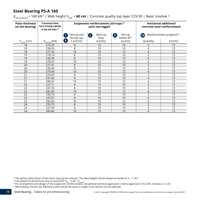V<sub>Rd.installation</sub>= 160 kN<sup>1)</sup> | Web height h<sub>web</sub> = **60 cm** | Concrete quality top layer C25/30 | Basic module 1

| <b>Plate thickness</b><br>(at the bearing) | <b>Transversal shear</b><br>force carrying capacity<br>in the end state $2$ ) |                                                                         | Suspension reinforcement (stirrups) 3)<br>each two legged |                                        | <b>Horizontal additional</b><br>concrete steel reinforcement |                                      |
|--------------------------------------------|-------------------------------------------------------------------------------|-------------------------------------------------------------------------|-----------------------------------------------------------|----------------------------------------|--------------------------------------------------------------|--------------------------------------|
|                                            |                                                                               | Stirrup and<br>stirrup cap                                              | Bent-up<br>$\mathbf{2}$<br>loop                           | Stirrup<br>$\overline{9}$<br>below 45° | (10)                                                         | Reinforcement proposal <sup>4)</sup> |
| $h_{\text{plate}}$ [cm]                    | $V_{Rd, total}$ [kN]                                                          | $\left( \begin{array}{c} 8 \end{array} \right)$<br>$n \varnothing$ [mm] | $\varnothing$ [mm]                                        | $\varnothing$ [mm]                     | Quantity                                                     | $\varnothing$ [mm]                   |
| 18                                         | 214.79                                                                        | 8                                                                       | 10                                                        | 10                                     | 2                                                            | 12                                   |
| 18                                         | 236.03                                                                        | 8                                                                       | 10                                                        | 10                                     | 4                                                            | 12                                   |
| 18                                         | 277.23                                                                        | 10                                                                      | 10                                                        | 12                                     | 6                                                            | 12                                   |
| 19                                         | 218.14                                                                        | 8                                                                       | 10                                                        | 10                                     | $\overline{2}$                                               | 12                                   |
| 19                                         | 236.36                                                                        | $\,8\,$                                                                 | 10                                                        | 10                                     | $\overline{4}$                                               | 12                                   |
| 19                                         | 278.37                                                                        | 10                                                                      | 10                                                        | 12                                     | 6                                                            | 12                                   |
| 20                                         | 221.41                                                                        | 8                                                                       | 10                                                        | 10                                     | $\overline{2}$                                               | 12                                   |
| 20                                         | 236.69                                                                        | 8                                                                       | 10                                                        | 10                                     | $\overline{4}$                                               | 12                                   |
| 20                                         | 279.49                                                                        | 10                                                                      | 10                                                        | 12                                     | 6                                                            | 12                                   |
| 21                                         | 224.60                                                                        | 8                                                                       | 10                                                        | 10                                     | $\overline{2}$                                               | 12                                   |
| 21                                         | 237.02                                                                        | 8                                                                       | 10                                                        | 10                                     | 4                                                            | 12                                   |
| 21                                         | 280.62                                                                        | 10                                                                      | 10                                                        | 12                                     | 6                                                            | 12                                   |
| 22                                         | 227.71                                                                        | 8                                                                       | 10                                                        | 10                                     | $\overline{2}$                                               | 12                                   |
| 22                                         | 237.35                                                                        | 8                                                                       | 10                                                        | 10                                     | 4                                                            | 12                                   |
| 22                                         | 281.64                                                                        | 10                                                                      | 10                                                        | 12                                     | 6                                                            | 12                                   |
| 23                                         | 230.76                                                                        | 8                                                                       | 10                                                        | 10                                     | $\overline{2}$                                               | 12                                   |
| 23                                         | 237.67                                                                        | 8                                                                       | 10                                                        | 10                                     | $\overline{4}$                                               | 12                                   |
| 23                                         | 282.65                                                                        | 10                                                                      | 10                                                        | 12                                     | 6                                                            | $\overline{12}$                      |
| 24                                         | 233.73                                                                        | 8                                                                       | 10                                                        | 10                                     | $\overline{2}$                                               | 12                                   |
| 24                                         | 237.99                                                                        | 8                                                                       | 10                                                        | 10                                     | 4                                                            | 12                                   |
| 24                                         | 283.66                                                                        | 10                                                                      | 10                                                        | 12                                     | 4                                                            | 12                                   |

<sup>1)</sup> The partial safety factor of the stress may <u>not</u> be reduced. The dead weight should always be based on Y<sub>G</sub> = 1,35!<br><sup>2)</sup> Calculated horizontal force due to constraint: H<sub>Rd</sub> = 0,20 • V<sub>Rd,total</sub><br><sup>3)</sup> For arrangement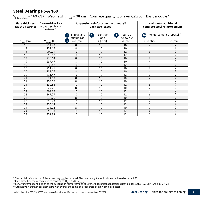V<sub>Rd.installation</sub>= 160 kN<sup>1)</sup> | Web height h<sub>web</sub> = **70 cm** | Concrete quality top layer C25/30 | Basic module 1

| <b>Plate thickness</b><br>(at the bearing) | <b>Transversal shear force</b><br>carrying capacity in the<br>end state <sup>2)</sup> |                                      | Suspension reinforcement (stirrups) <sup>3)</sup><br>each two legged |                           | <b>Horizontal additional</b><br>concrete steel reinforcement |                           |
|--------------------------------------------|---------------------------------------------------------------------------------------|--------------------------------------|----------------------------------------------------------------------|---------------------------|--------------------------------------------------------------|---------------------------|
|                                            |                                                                                       | Stirrup and<br>stirrup cap           | Bent-up<br>$\mathbf{2}$<br>loop                                      | Stirrup<br>9<br>below 45° | (10)                                                         | Reinforcement proposal 4) |
| $h_{\text{plate}}$ [cm]                    | $V_{Rd, total}$ [kN]                                                                  | $\mathbf{8}$<br>$n \varnothing$ [mm] | $\varnothing$ [mm]                                                   | ø [mm]                    | Quantity                                                     | $\varnothing$ [mm]        |
| 18                                         | 214.79                                                                                | 8                                    | 10                                                                   | 10                        | 2                                                            | 12                        |
| 18                                         | 237.17                                                                                | 8                                    | 10                                                                   | 10                        | 4                                                            | 12                        |
| 18                                         | 292.71                                                                                | 10                                   | 10                                                                   | 12                        | 6                                                            | 12                        |
| 18                                         | 315.67                                                                                | 10                                   | 10                                                                   | 12                        | 8                                                            | 12                        |
| 19                                         | 218.14                                                                                | 8                                    | 10                                                                   | 10                        | $\overline{2}$                                               | 12                        |
| 19                                         | 237.47                                                                                | 8                                    | 10                                                                   | 10                        | 4                                                            | 12                        |
| 19                                         | 330.48                                                                                | 10                                   | 10                                                                   | 12                        | 6                                                            | 12                        |
| 20                                         | 221.41                                                                                | 8                                    | 10                                                                   | 10                        | 2                                                            | $\overline{12}$           |
| 20                                         | 237.76                                                                                | 8                                    | 10                                                                   | 10                        | $\overline{4}$                                               | 12                        |
| 20                                         | 331.47                                                                                | 10                                   | 10                                                                   | 12                        | 6                                                            | 12                        |
| 21                                         | 224.60                                                                                | 8                                    | 10                                                                   | 10                        | $\overline{2}$                                               | 12                        |
| 21                                         | 238.06                                                                                | 8                                    | 10                                                                   | 10                        | 4                                                            | 12                        |
| 21                                         | 332.86                                                                                | 10                                   | 10                                                                   | 12                        | 6                                                            | $\overline{12}$           |
| 22                                         | 227.71                                                                                | 8                                    | 10                                                                   | 10                        | $\overline{2}$                                               | 12                        |
| 22                                         | 309.29                                                                                | 10                                   | 10                                                                   | 12                        | 4                                                            | 12                        |
| 22                                         | 347.27                                                                                | 10                                   | 10                                                                   | 12                        | 6                                                            | 12                        |
| 23                                         | 230.76                                                                                | 8                                    | 10                                                                   | 10                        | $\overline{2}$                                               | 12                        |
| 23                                         | 313.73                                                                                | 10                                   | 10                                                                   | 12                        | 4                                                            | 12                        |
| 23                                         | 350.14                                                                                | 10                                   | 10                                                                   | 12                        | 6                                                            | 12                        |
| 24                                         | 233.73                                                                                | 8                                    | 10                                                                   | 10                        | 2                                                            | 12                        |
| 24                                         | 316.80                                                                                | 10                                   | 10                                                                   | 12                        | 4                                                            | 12                        |
| 24                                         | 351.83                                                                                | 10                                   | 10                                                                   | 12                        | 6                                                            | 12                        |

<sup>1)</sup> The partial safety factor of the stress may <u>not</u> be reduced. The dead weight should always be based on Y<sub>G</sub> = 1,35 !<br><sup>2)</sup> Calculated horizontal force due to constraint: H<sub>Rd</sub> = 0,20 · V<sub>Rd total</sub><br><sup>3)</sup> For arrangemen